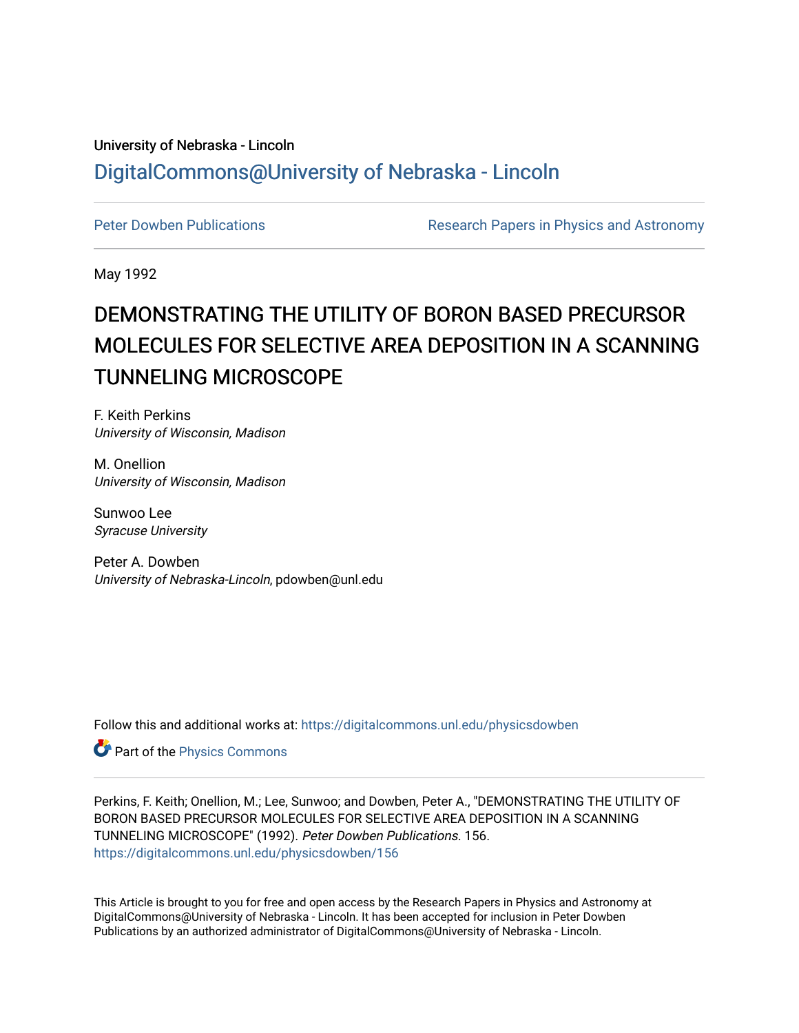## University of Nebraska - Lincoln [DigitalCommons@University of Nebraska - Lincoln](https://digitalcommons.unl.edu/)

[Peter Dowben Publications](https://digitalcommons.unl.edu/physicsdowben) **Research Papers in Physics and Astronomy** 

May 1992

# DEMONSTRATING THE UTILITY OF BORON BASED PRECURSOR MOLECULES FOR SELECTIVE AREA DEPOSITION IN A SCANNING TUNNELING MICROSCOPE

F. Keith Perkins University of Wisconsin, Madison

M. Onellion University of Wisconsin, Madison

Sunwoo Lee Syracuse University

Peter A. Dowben University of Nebraska-Lincoln, pdowben@unl.edu

Follow this and additional works at: [https://digitalcommons.unl.edu/physicsdowben](https://digitalcommons.unl.edu/physicsdowben?utm_source=digitalcommons.unl.edu%2Fphysicsdowben%2F156&utm_medium=PDF&utm_campaign=PDFCoverPages) 

Part of the [Physics Commons](http://network.bepress.com/hgg/discipline/193?utm_source=digitalcommons.unl.edu%2Fphysicsdowben%2F156&utm_medium=PDF&utm_campaign=PDFCoverPages)

Perkins, F. Keith; Onellion, M.; Lee, Sunwoo; and Dowben, Peter A., "DEMONSTRATING THE UTILITY OF BORON BASED PRECURSOR MOLECULES FOR SELECTIVE AREA DEPOSITION IN A SCANNING TUNNELING MICROSCOPE" (1992). Peter Dowben Publications. 156. [https://digitalcommons.unl.edu/physicsdowben/156](https://digitalcommons.unl.edu/physicsdowben/156?utm_source=digitalcommons.unl.edu%2Fphysicsdowben%2F156&utm_medium=PDF&utm_campaign=PDFCoverPages) 

This Article is brought to you for free and open access by the Research Papers in Physics and Astronomy at DigitalCommons@University of Nebraska - Lincoln. It has been accepted for inclusion in Peter Dowben Publications by an authorized administrator of DigitalCommons@University of Nebraska - Lincoln.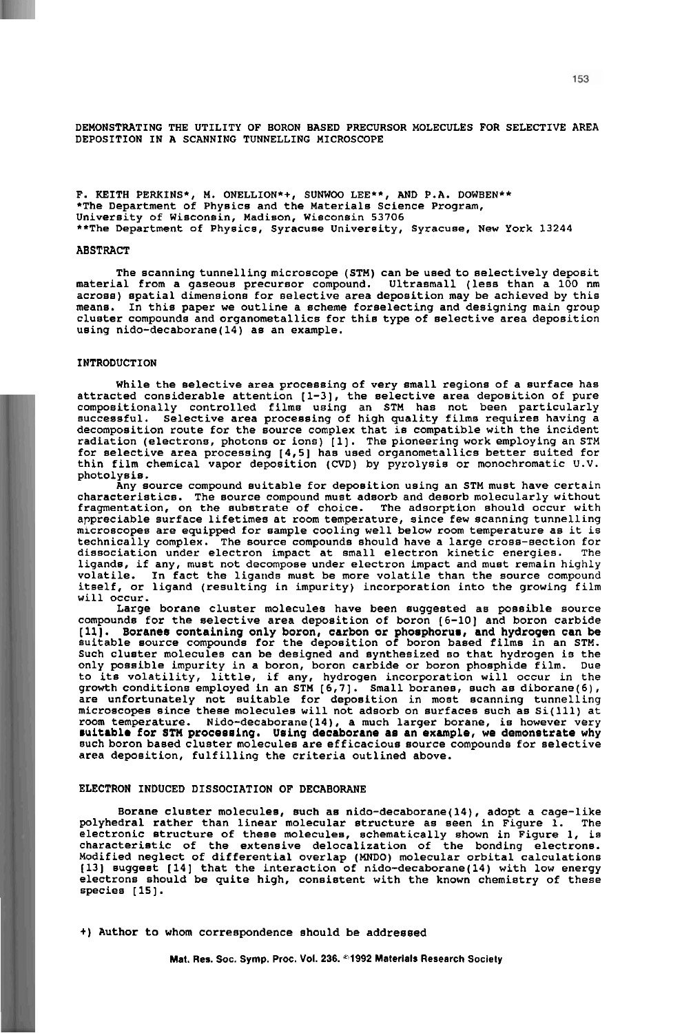**DEMONSTRATING THE UTILITY OF BORON BASED PRECURSOR MOLECULES FOR SELECTIVE AREA DEPOSITION IN A SCANNING TUNNELLING MICROSCOPE** 

**F. KEITH PERKINS\*, M. ONELLION\*+, SUNWOO LEE\*\*, AND P.A. DOWBEN\*\* \*The Department of Physics and the Materials Science Program, University of Wisconsin, Madison, Wisconsin 53706 \*\*The Department of Physics, Syracuse University, Syracuse, New York 13244** 

#### **ABSTRACT**

**The scanningtunnelling microscope (STM) can be usedto selectively deposit**  across) spatial dimensions for selective area deposition may be achieved by this<br>means. In this paper we outline a scheme forselecting and designing main group<br>cluster compounds and organometallics for this type of selecti **using nido-decaborane(l4) as an example.** 

#### **INTRODUCTION**

While the selective area processing of very small regions of a surface has<br>attracted considerable attention [1-3], the selective area deposition of pure<br>compositionally controlled films using an STM has not been particular **decomposition route for the source complex that is compatible with the incident**  for selective area processing [4,5] has used organometallics better suited for<br>thin film chemical vapor deposition (CVD) by pyrolysis or monochromatic U.V.<br>photolysis.

**Any source compound suitable for deposition using an STM must have certain characteristics. The source compound must adsorb and desorb molecularly without fragmentation, on the substrate of choice. The adsorption should occur with**  microscopes are equipped for sample cooling well below room temperature as it is technically complex. The source compounds should have a large cross-section for dissociation under electron impact at small electron kinetic energies. The<br>ligands, if any, must not decompose under electron impact and must remain highly **volatile. In fact the ligands must be more volatile than the source compound itself, or ligand (resulting in impurity) incorporation into the growing film will occur.** 

**Large borane cluster molecules have been suggested as possible source**  compounds for the selective area deposition of boron (6-10) and boron carbide [11]. Boranes containing only boron, carbon or phosphorus, and hydrogen can be suitable source compounds for the deposition of boron based films only possible impurity in a boron, boron carbide or boron phosphide film. Due<br>to its volatility, little, if any, hydrogen incorporation will occur in the<br>growth conditions employed in an STM [6,7]. Small boranes, such as d **microscopes since these molecules will not adsorb on surfaces such as Si(ll1) at room temperature. Nido-decaborane(l4), a much larger borane, is however very**  suitable for STM processing. Using decaborane as an example, we demonstrate why<br>such boron based cluster molecules are efficacious source compounds for selective<br>area deposition, fulfilling the criteria outlined above.

#### **ELECTRON INDUCED DISSOCIATION OF DECABORANE**

**Borane cluster molecules, such as nido-decaborane(l4), adopt a cage-like polyhedral rather than linear molecular structure as seen in Figure 1. The electronic structure of these molecules, schematically shown in Figure 1, is characteristic of the extensive delocalization of the bonding electrons. Modified neglect of differential overlap (MNDO) molecular orbital calculations (131 suggest (141 that the interaction of nido-decaborane(l4) with low energy electrons should be quite high, consistent with the known chemistry of these species [IS].** 

+) **Author to whom correspondence should be addressed**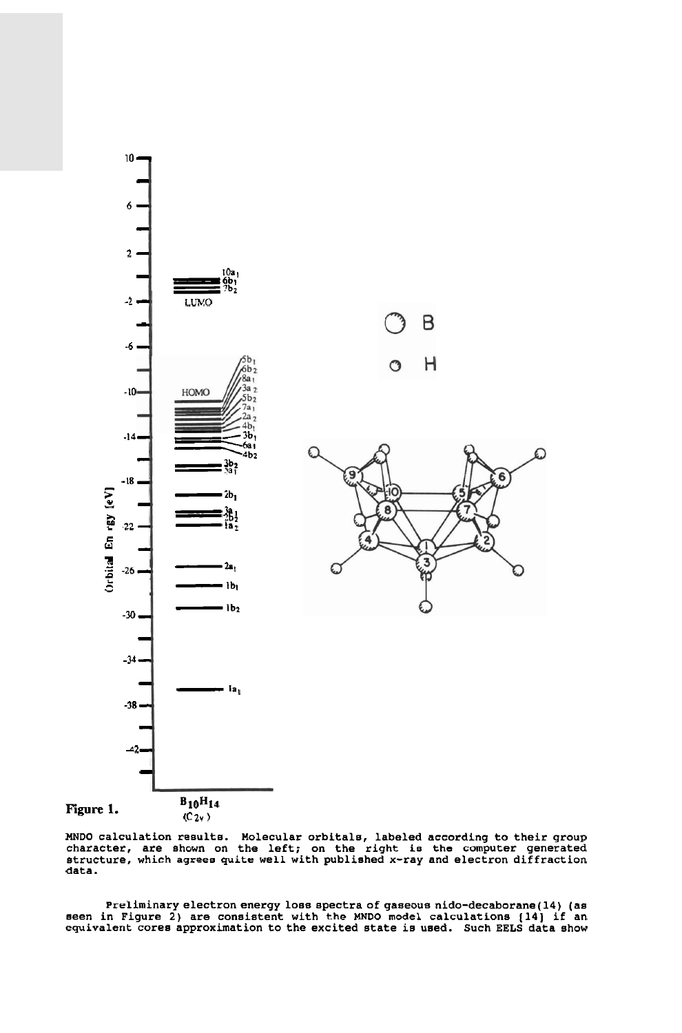

MNDO calculation results. Molecular orbitals, labeled according to their group<br>character, are shown on the left; on the right is the computer generated<br>structure, which agrees quite well with published x-ray and electron **data.** 

Preliminary electron energy loss spectra of gaseous nido-decaborane(14) (as<br>seen in Figure 2) are consistent with the MNDO model calculations (14) if an<br>equivalent cores approximation to the excited state is used. Such EEL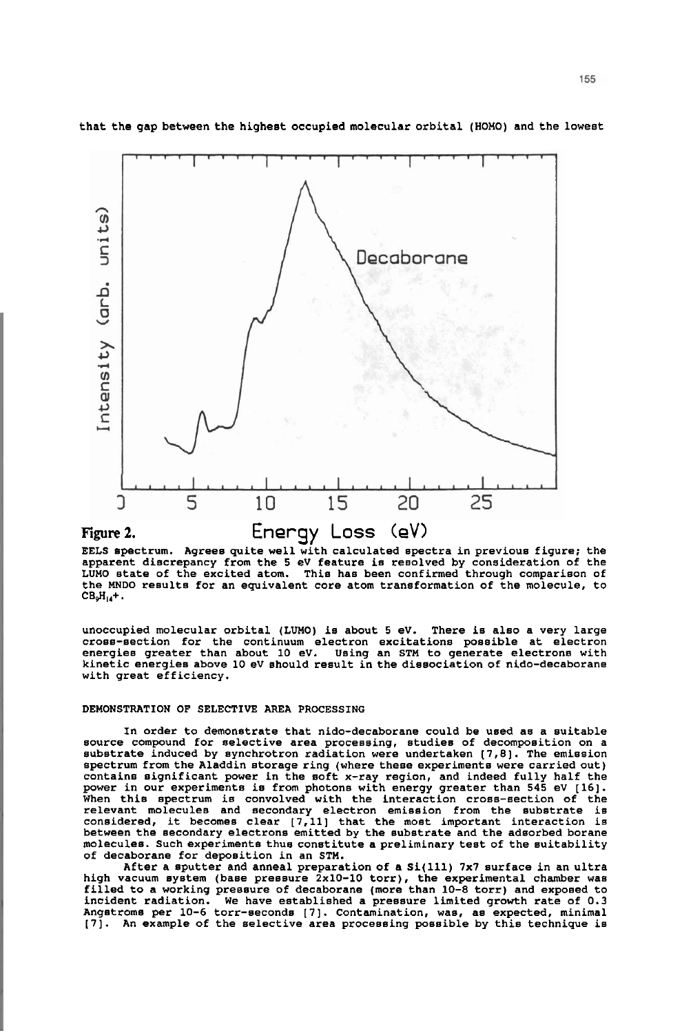

**that the gap between the highest occupied molecular orbital (HOMO) and the lowest** 

**EELS spectrum. Agrees quite well with calculated spectra in previous figure; the**  apparent discrepancy from the 5 eV feature is resolved by consideration of the<br>LUMO state of the excited atom. This has been confirmed through comparison of **the MNDO results for an equivalent core atom transformation of the molecule, to**   $CB_9H_{14}+$ .

**unoccupied molecular orbital (LUMO) is about 5 eV. There is also a very large cross-section for the continuum electron excitations possible at electron energies greater than about 10 eV. Using an STM to generate electrons with kinetic energies above 10 eV should result in the dissociation of nido-decaborane with great efficiency.** 

#### **DEMONSTRATION OF SELECTIVE AREA PROCESSING**

**In order to demonstrate that nido-decaborane could be used as a suitable**  substrate induced by synchrotron radiation were undertaken [7,8]. The emission spectrum from the Aladdin storage ring (where these experiments were carried out)<br>contains significant power in the soft x-ray region, and indeed fully half the<br>power in our experiments is from photons with energy greater When this spectrum is convolved with the interaction cross-section of the<br>relevant molecules and secondary electron emission from the substrate is<br>considered, it becomes clear [7,11] that the most important interaction is **between the secondary electrons emitted by the substrate and the adsorbed borane molecules. Such experiments thus constitute a preliminary test of the suitability of decaborane for deposition in an STM.** 

**After a sputter and anneal preparation of a Si(ll1) 7x7 surface in an ultra**  high vacuum system (base pressure 2x10-10 torr), the experimental chamber was<br>filled to a working pressure of decaborane (more than 10-8 torr) and exposed to<br>incident radiation. We have established a pressure limited grow Angstroms per 10-6 torr-seconds [7]. Contamination, was, as expected, minimal **[7]. An example of the selective area processing possible by this technique is**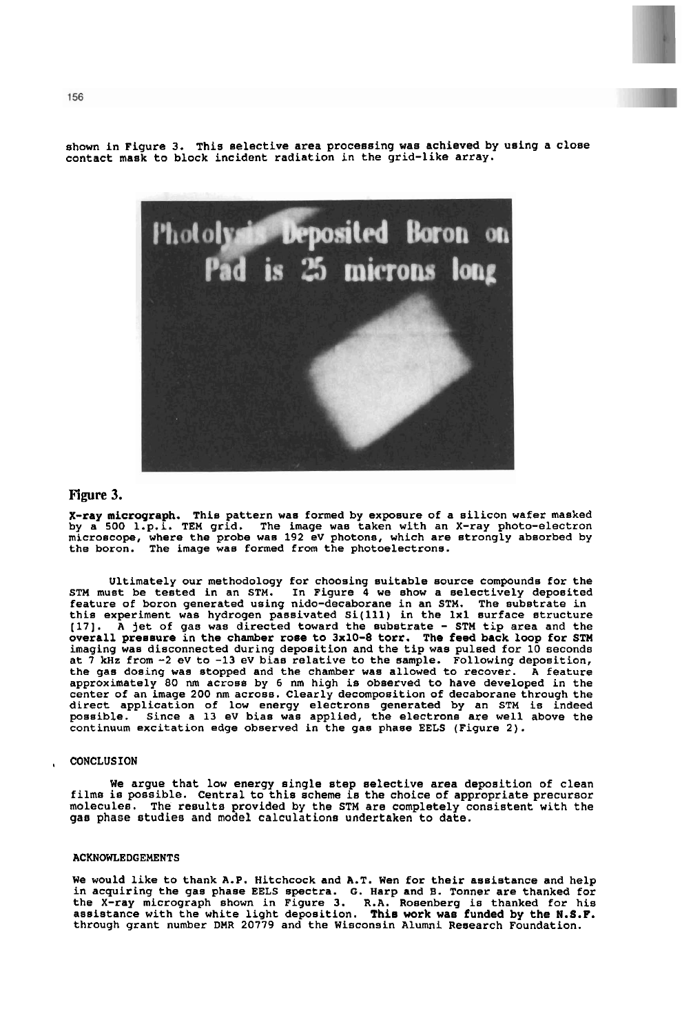**shown in Figure 3. This selective area processing was achieved by using a close contact mask to block incident radiation in the grid-like array.** 



### **Figure 3.**

X-ray micrograph. This pattern was formed by exposure of a silicon wafer masked<br>by a 500 l.p.i. TEM grid. The image was taken with an X-ray photo-electron<br>microscope, where the probe was 192 eV photons, which are strongly

Ultimately our methodology for choosing suitable source compounds for the<br>STM must be tested in an STM. In Figure 4 we show a selectively deposited<br>feature of boron generated using nido-decaborane in an STM. The substrate **[17]. A jet of gas was directed toward the substrate** - **STM tip area and the overall pressure in the chamber rose to 3x10-8 torr. The feed back loop for STM**  at 7 kHz from -2 eV to -13 eV bias relative to the sample. Following deposition, **the gas dosing was stopped and the chamber was allowed to recover. A feature approximately 80** nm **across by 6 nm high is observed to have developed in the center of an image 200 nm across. Clearly decomposition of decaborane through the direct application of low energy electrons generated by an STM is indeed possible. Since a 13 eV bias was applied, the electrons are well above the continuum excitation edge observed in the gas phase EELS (Figure 2).** 

#### , **CONCLUSION**

**We argue that low energy single step selective area deposition of clean films is possible. Central to this scheme is the choice of appropriate precursor molecules. The results provided by the STM are completely consistent with the gas phase studies and model calculations undertaken to date.** 

#### **ACKNOWLEDGEMENTS**

**We would like to thank A.P. Hitchcock and A.T. Wen for their assistance and help**  in acquiring the gas phase EELS spectra. G. Harp and B. Tonner are thanked for<br>the X-ray micrograph shown in Figure 3. R.A. Rosenberg is thanked for his<br>assistance with the white light deposition. This work was funded by t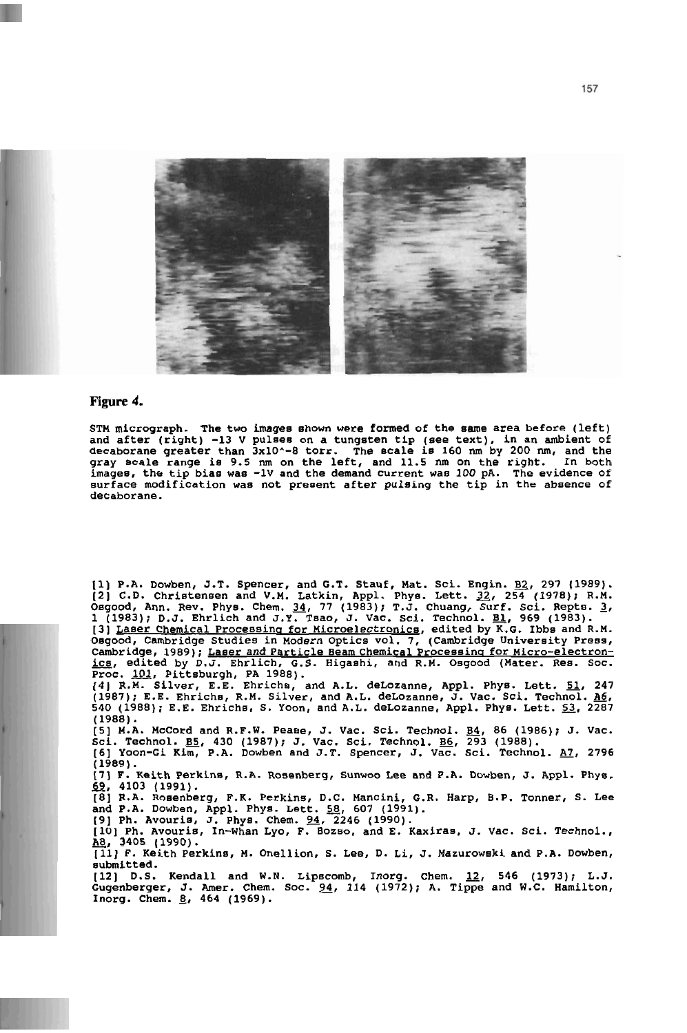

#### **Figure 4.**

**STM micrograph. The two images shown were formed of the same area before (left)**  ind after (right) -13 V pulses on a tungsten tip (see text), in an ambient of<br>lecaborane greater than 3x10^-8 torr. The scale is 160 nm by 200 nm, and the<br>gray scale range is 9.5 nm on the left, and 11.5 nm on the right. I **surface modification was not present after pulsing the tip in the absence of decaborane.** 

1) P.A. Dowben, J.T. Spencer, and G.T. Stauf, Mat. Sci. Engin. <u>B2</u>, 297 (1989).<br>2) C.D. Christensen and V.M. Latkin, Appl. Phys. Lett. 32, 254 (1978); R.M.<br>Dagood, Ann. Rev. Phys. Chem. 34, 77 (1983); T.J. Chuang, Surf. S 3) <u>Laser Chemical Processing for Microelectronics</u>, edited by K.G. Ibbs and R.M.<br>Dagood, Cambridge Studies in Modern Optics vol. 7, (Cambridge University Press, Cambridge, 1989); <u>Laser and Particle Beam Chemical Processi</u>

**(4) R.M. Silver, E.E. Ehrichs, and A.L. deLozanne, Appl. Phys. Lett. 51, 247** (247) **540 (1988); E.E. Ehrichs, S. Yoon, and A.L. delozanne, Appl. Phys. Lett.** 53, **2287 (1988).** 

5) M.A. McCord and R.F.W. Pease, J. Vac. Sci. Technol. <u>B4</u>, 86 (1986); J. Vac.<br>Sci. Technol. <u>B5</u>, 430 (1987); J. Vac. Sci. Technol. <u>B6</u>, 293 (1988).<br>6) Yoon-Gi Kim, P.A. Dowben and J.T. Spencer, J. Vac. Sci. Technol. <u>A</u>

81, 1989).<br>(1989).<br>59, F. Keith Perki<br><u>69,</u> 4103 (1991).<br>58, B.A. Rosenberg

**17) F. Keith Perkins, R.A. Rosenberg, Sunwoo Lee and P .A. Dowben, J. Appl. Phys.** 

**[8] R.A. Rosenberg, F.K. Perkins, D.C. Mancini, G.R. Harp, B.P. Tonner, S. Lee and P.A. Dowben, Appl. Phys. Lett.** 58, **607 (1991).** 

**(91 Ph. Avouris, J. Phys. Chem. 94, 2246 (1990). [lo] Ph. Avouris, In-Whan Lyo, F. Bozso, and E. Kaxiras, J. Vac. Sci. Technol.,**  loj rn. Avouris, in-whan Lyo, r. Bozso, and E. Kaxiras, J. Vac. Sci. Technol.,<br><u>18,</u> 3405 (1990).<br>[11] F. Keith Perkins, M. Onellion, S. Lee, D. Li, J. Mazurowski and P.A. Dowben,

**submitted.** 

**[12] D.S. Kendall and W.N. Lipscomb, Inorg. Chem.** 12, **546 (1973); L.J. Gugenberger, J. Amer. Chem. Soc. 94, 114 (1972); A. Tippe and W.C. Hamilton, Inorg. Chem. 8, 464 (1969).**